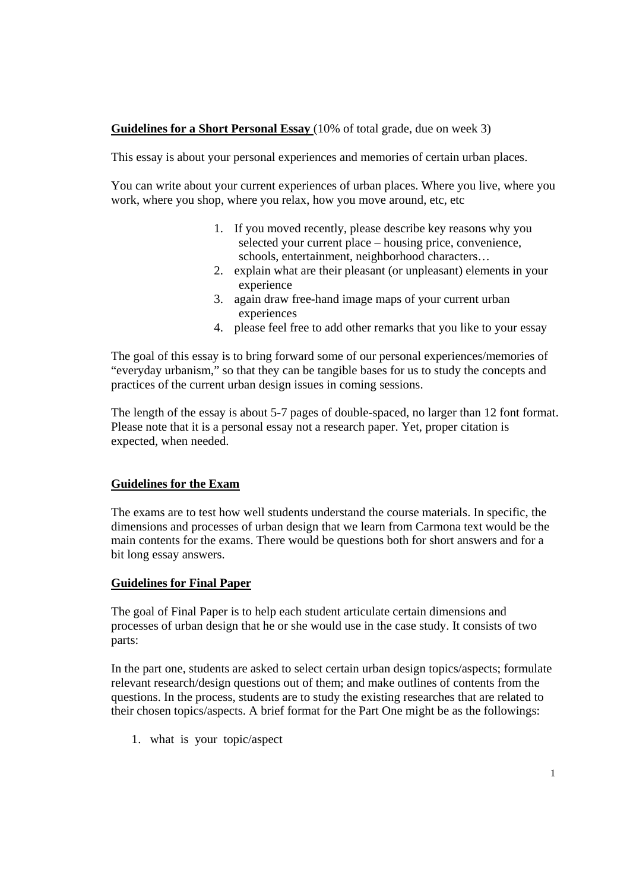## **Guidelines for a Short Personal Essay** (10% of total grade, due on week 3)

This essay is about your personal experiences and memories of certain urban places.

You can write about your current experiences of urban places. Where you live, where you work, where you shop, where you relax, how you move around, etc, etc

- 1. If you moved recently, please describe key reasons why you selected your current place – housing price, convenience, schools, entertainment, neighborhood characters…
- 2. explain what are their pleasant (or unpleasant) elements in your experience
- 3. again draw free-hand image maps of your current urban experiences
- 4. please feel free to add other remarks that you like to your essay

The goal of this essay is to bring forward some of our personal experiences/memories of "everyday urbanism," so that they can be tangible bases for us to study the concepts and practices of the current urban design issues in coming sessions.

The length of the essay is about 5-7 pages of double-spaced, no larger than 12 font format. Please note that it is a personal essay not a research paper. Yet, proper citation is expected, when needed.

## **Guidelines for the Exam**

The exams are to test how well students understand the course materials. In specific, the dimensions and processes of urban design that we learn from Carmona text would be the main contents for the exams. There would be questions both for short answers and for a bit long essay answers.

## **Guidelines for Final Paper**

The goal of Final Paper is to help each student articulate certain dimensions and processes of urban design that he or she would use in the case study. It consists of two parts:

In the part one, students are asked to select certain urban design topics/aspects; formulate relevant research/design questions out of them; and make outlines of contents from the questions. In the process, students are to study the existing researches that are related to their chosen topics/aspects. A brief format for the Part One might be as the followings:

1. what is your topic/aspect